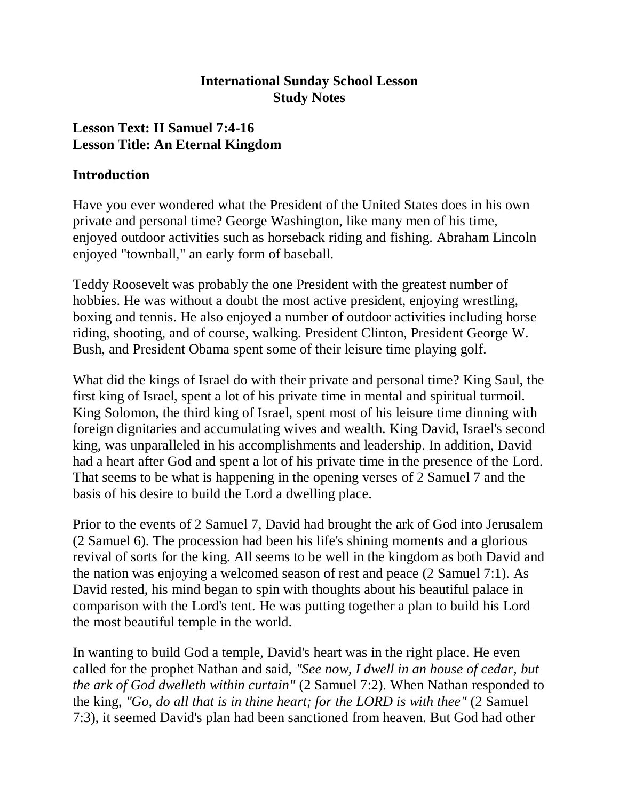### **International Sunday School Lesson Study Notes**

### **Lesson Text: II Samuel 7:4-16 Lesson Title: An Eternal Kingdom**

#### **Introduction**

Have you ever wondered what the President of the United States does in his own private and personal time? George Washington, like many men of his time, enjoyed outdoor activities such as horseback riding and fishing. Abraham Lincoln enjoyed "townball," an early form of baseball.

Teddy Roosevelt was probably the one President with the greatest number of hobbies. He was without a doubt the most active president, enjoying wrestling, boxing and tennis. He also enjoyed a number of outdoor activities including horse riding, shooting, and of course, walking. President Clinton, President George W. Bush, and President Obama spent some of their leisure time playing golf.

What did the kings of Israel do with their private and personal time? King Saul, the first king of Israel, spent a lot of his private time in mental and spiritual turmoil. King Solomon, the third king of Israel, spent most of his leisure time dinning with foreign dignitaries and accumulating wives and wealth. King David, Israel's second king, was unparalleled in his accomplishments and leadership. In addition, David had a heart after God and spent a lot of his private time in the presence of the Lord. That seems to be what is happening in the opening verses of 2 Samuel 7 and the basis of his desire to build the Lord a dwelling place.

Prior to the events of 2 Samuel 7, David had brought the ark of God into Jerusalem (2 Samuel 6). The procession had been his life's shining moments and a glorious revival of sorts for the king. All seems to be well in the kingdom as both David and the nation was enjoying a welcomed season of rest and peace (2 Samuel 7:1). As David rested, his mind began to spin with thoughts about his beautiful palace in comparison with the Lord's tent. He was putting together a plan to build his Lord the most beautiful temple in the world.

In wanting to build God a temple, David's heart was in the right place. He even called for the prophet Nathan and said, *"See now, I dwell in an house of cedar, but the ark of God dwelleth within curtain"* (2 Samuel 7:2). When Nathan responded to the king, *"Go, do all that is in thine heart; for the LORD is with thee"* (2 Samuel 7:3), it seemed David's plan had been sanctioned from heaven. But God had other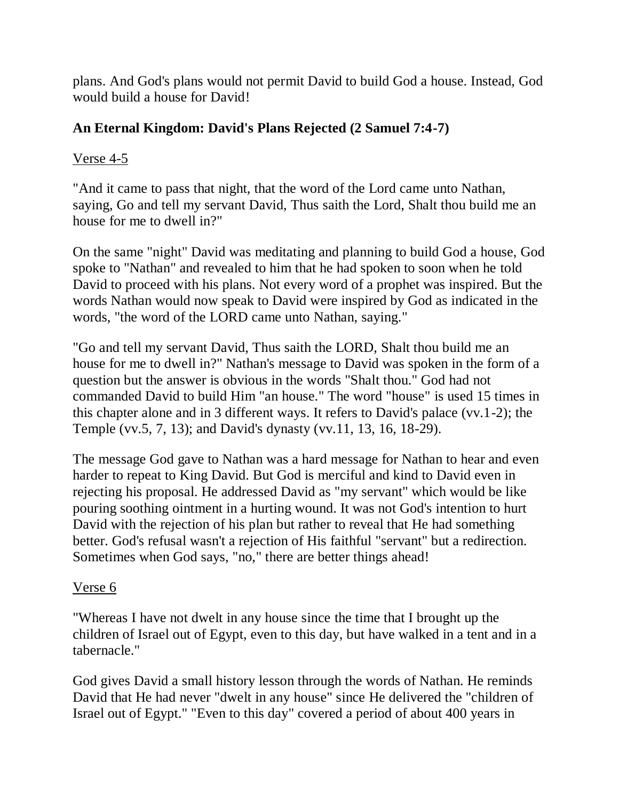plans. And God's plans would not permit David to build God a house. Instead, God would build a house for David!

### **An Eternal Kingdom: David's Plans Rejected (2 Samuel 7:4-7)**

### Verse 4-5

"And it came to pass that night, that the word of the Lord came unto Nathan, saying, Go and tell my servant David, Thus saith the Lord, Shalt thou build me an house for me to dwell in?"

On the same "night" David was meditating and planning to build God a house, God spoke to "Nathan" and revealed to him that he had spoken to soon when he told David to proceed with his plans. Not every word of a prophet was inspired. But the words Nathan would now speak to David were inspired by God as indicated in the words, "the word of the LORD came unto Nathan, saying."

"Go and tell my servant David, Thus saith the LORD, Shalt thou build me an house for me to dwell in?" Nathan's message to David was spoken in the form of a question but the answer is obvious in the words "Shalt thou." God had not commanded David to build Him "an house." The word "house" is used 15 times in this chapter alone and in 3 different ways. It refers to David's palace (vv.1-2); the Temple (vv.5, 7, 13); and David's dynasty (vv.11, 13, 16, 18-29).

The message God gave to Nathan was a hard message for Nathan to hear and even harder to repeat to King David. But God is merciful and kind to David even in rejecting his proposal. He addressed David as "my servant" which would be like pouring soothing ointment in a hurting wound. It was not God's intention to hurt David with the rejection of his plan but rather to reveal that He had something better. God's refusal wasn't a rejection of His faithful "servant" but a redirection. Sometimes when God says, "no," there are better things ahead!

# Verse 6

"Whereas I have not dwelt in any house since the time that I brought up the children of Israel out of Egypt, even to this day, but have walked in a tent and in a tabernacle."

God gives David a small history lesson through the words of Nathan. He reminds David that He had never "dwelt in any house" since He delivered the "children of Israel out of Egypt." "Even to this day" covered a period of about 400 years in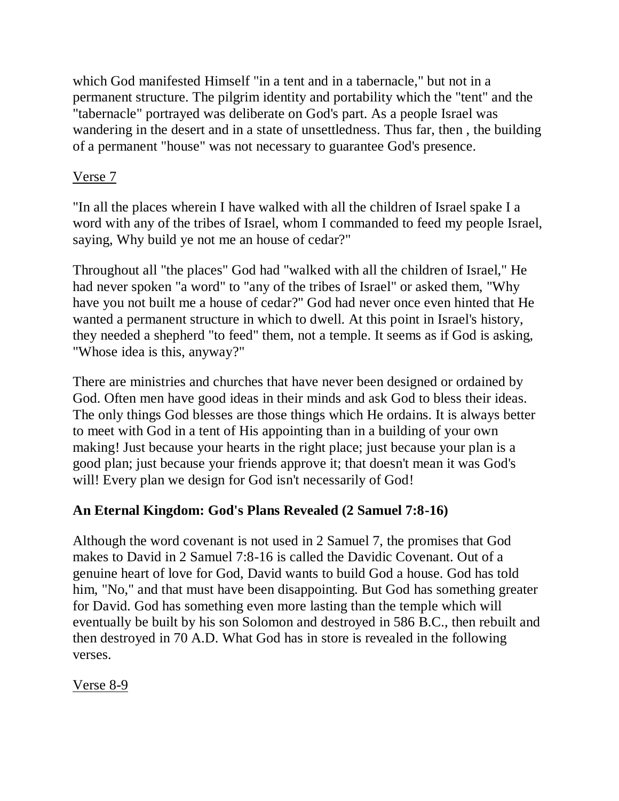which God manifested Himself "in a tent and in a tabernacle," but not in a permanent structure. The pilgrim identity and portability which the "tent" and the "tabernacle" portrayed was deliberate on God's part. As a people Israel was wandering in the desert and in a state of unsettledness. Thus far, then , the building of a permanent "house" was not necessary to guarantee God's presence.

### Verse 7

"In all the places wherein I have walked with all the children of Israel spake I a word with any of the tribes of Israel, whom I commanded to feed my people Israel, saying, Why build ye not me an house of cedar?"

Throughout all "the places" God had "walked with all the children of Israel," He had never spoken "a word" to "any of the tribes of Israel" or asked them, "Why have you not built me a house of cedar?" God had never once even hinted that He wanted a permanent structure in which to dwell. At this point in Israel's history, they needed a shepherd "to feed" them, not a temple. It seems as if God is asking, "Whose idea is this, anyway?"

There are ministries and churches that have never been designed or ordained by God. Often men have good ideas in their minds and ask God to bless their ideas. The only things God blesses are those things which He ordains. It is always better to meet with God in a tent of His appointing than in a building of your own making! Just because your hearts in the right place; just because your plan is a good plan; just because your friends approve it; that doesn't mean it was God's will! Every plan we design for God isn't necessarily of God!

# **An Eternal Kingdom: God's Plans Revealed (2 Samuel 7:8-16)**

Although the word covenant is not used in 2 Samuel 7, the promises that God makes to David in 2 Samuel 7:8-16 is called the Davidic Covenant. Out of a genuine heart of love for God, David wants to build God a house. God has told him, "No," and that must have been disappointing. But God has something greater for David. God has something even more lasting than the temple which will eventually be built by his son Solomon and destroyed in 586 B.C., then rebuilt and then destroyed in 70 A.D. What God has in store is revealed in the following verses.

Verse 8-9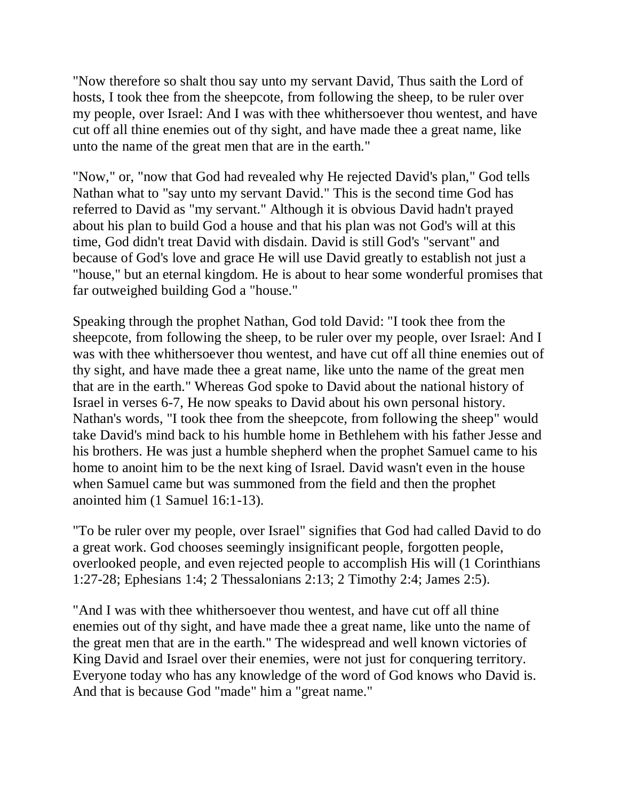"Now therefore so shalt thou say unto my servant David, Thus saith the Lord of hosts, I took thee from the sheepcote, from following the sheep, to be ruler over my people, over Israel: And I was with thee whithersoever thou wentest, and have cut off all thine enemies out of thy sight, and have made thee a great name, like unto the name of the great men that are in the earth."

"Now," or, "now that God had revealed why He rejected David's plan," God tells Nathan what to "say unto my servant David." This is the second time God has referred to David as "my servant." Although it is obvious David hadn't prayed about his plan to build God a house and that his plan was not God's will at this time, God didn't treat David with disdain. David is still God's "servant" and because of God's love and grace He will use David greatly to establish not just a "house," but an eternal kingdom. He is about to hear some wonderful promises that far outweighed building God a "house."

Speaking through the prophet Nathan, God told David: "I took thee from the sheepcote, from following the sheep, to be ruler over my people, over Israel: And I was with thee whithersoever thou wentest, and have cut off all thine enemies out of thy sight, and have made thee a great name, like unto the name of the great men that are in the earth." Whereas God spoke to David about the national history of Israel in verses 6-7, He now speaks to David about his own personal history. Nathan's words, "I took thee from the sheepcote, from following the sheep" would take David's mind back to his humble home in Bethlehem with his father Jesse and his brothers. He was just a humble shepherd when the prophet Samuel came to his home to anoint him to be the next king of Israel. David wasn't even in the house when Samuel came but was summoned from the field and then the prophet anointed him (1 Samuel 16:1-13).

"To be ruler over my people, over Israel" signifies that God had called David to do a great work. God chooses seemingly insignificant people, forgotten people, overlooked people, and even rejected people to accomplish His will (1 Corinthians 1:27-28; Ephesians 1:4; 2 Thessalonians 2:13; 2 Timothy 2:4; James 2:5).

"And I was with thee whithersoever thou wentest, and have cut off all thine enemies out of thy sight, and have made thee a great name, like unto the name of the great men that are in the earth." The widespread and well known victories of King David and Israel over their enemies, were not just for conquering territory. Everyone today who has any knowledge of the word of God knows who David is. And that is because God "made" him a "great name."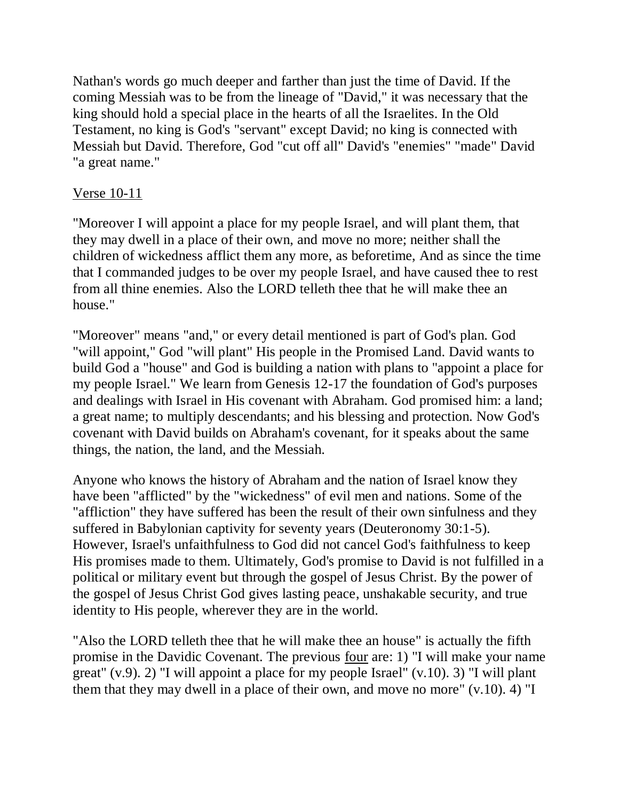Nathan's words go much deeper and farther than just the time of David. If the coming Messiah was to be from the lineage of "David," it was necessary that the king should hold a special place in the hearts of all the Israelites. In the Old Testament, no king is God's "servant" except David; no king is connected with Messiah but David. Therefore, God "cut off all" David's "enemies" "made" David "a great name."

### Verse 10-11

"Moreover I will appoint a place for my people Israel, and will plant them, that they may dwell in a place of their own, and move no more; neither shall the children of wickedness afflict them any more, as beforetime, And as since the time that I commanded judges to be over my people Israel, and have caused thee to rest from all thine enemies. Also the LORD telleth thee that he will make thee an house."

"Moreover" means "and," or every detail mentioned is part of God's plan. God "will appoint," God "will plant" His people in the Promised Land. David wants to build God a "house" and God is building a nation with plans to "appoint a place for my people Israel." We learn from Genesis 12-17 the foundation of God's purposes and dealings with Israel in His covenant with Abraham. God promised him: a land; a great name; to multiply descendants; and his blessing and protection. Now God's covenant with David builds on Abraham's covenant, for it speaks about the same things, the nation, the land, and the Messiah.

Anyone who knows the history of Abraham and the nation of Israel know they have been "afflicted" by the "wickedness" of evil men and nations. Some of the "affliction" they have suffered has been the result of their own sinfulness and they suffered in Babylonian captivity for seventy years (Deuteronomy 30:1-5). However, Israel's unfaithfulness to God did not cancel God's faithfulness to keep His promises made to them. Ultimately, God's promise to David is not fulfilled in a political or military event but through the gospel of Jesus Christ. By the power of the gospel of Jesus Christ God gives lasting peace, unshakable security, and true identity to His people, wherever they are in the world.

"Also the LORD telleth thee that he will make thee an house" is actually the fifth promise in the Davidic Covenant. The previous four are: 1) "I will make your name great" (v.9). 2) "I will appoint a place for my people Israel" (v.10). 3) "I will plant them that they may dwell in a place of their own, and move no more"  $(v.10)$ . 4) "I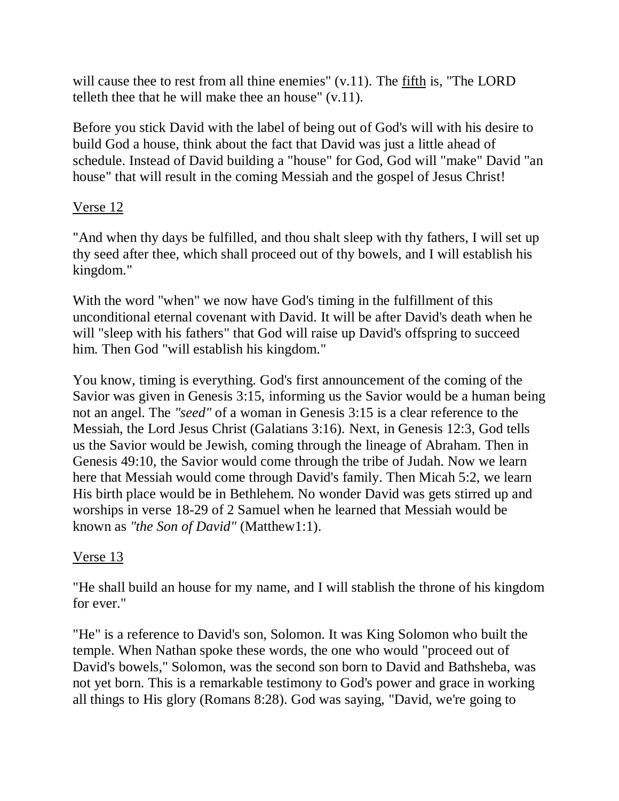will cause thee to rest from all thine enemies" (v.11). The fifth is, "The LORD telleth thee that he will make thee an house" (v.11).

Before you stick David with the label of being out of God's will with his desire to build God a house, think about the fact that David was just a little ahead of schedule. Instead of David building a "house" for God, God will "make" David "an house" that will result in the coming Messiah and the gospel of Jesus Christ!

### Verse 12

"And when thy days be fulfilled, and thou shalt sleep with thy fathers, I will set up thy seed after thee, which shall proceed out of thy bowels, and I will establish his kingdom."

With the word "when" we now have God's timing in the fulfillment of this unconditional eternal covenant with David. It will be after David's death when he will "sleep with his fathers" that God will raise up David's offspring to succeed him. Then God "will establish his kingdom."

You know, timing is everything. God's first announcement of the coming of the Savior was given in Genesis 3:15, informing us the Savior would be a human being not an angel. The *"seed"* of a woman in Genesis 3:15 is a clear reference to the Messiah, the Lord Jesus Christ (Galatians 3:16). Next, in Genesis 12:3, God tells us the Savior would be Jewish, coming through the lineage of Abraham. Then in Genesis 49:10, the Savior would come through the tribe of Judah. Now we learn here that Messiah would come through David's family. Then Micah 5:2, we learn His birth place would be in Bethlehem. No wonder David was gets stirred up and worships in verse 18-29 of 2 Samuel when he learned that Messiah would be known as *"the Son of David"* (Matthew1:1).

### Verse 13

"He shall build an house for my name, and I will stablish the throne of his kingdom for ever."

"He" is a reference to David's son, Solomon. It was King Solomon who built the temple. When Nathan spoke these words, the one who would "proceed out of David's bowels," Solomon, was the second son born to David and Bathsheba, was not yet born. This is a remarkable testimony to God's power and grace in working all things to His glory (Romans 8:28). God was saying, "David, we're going to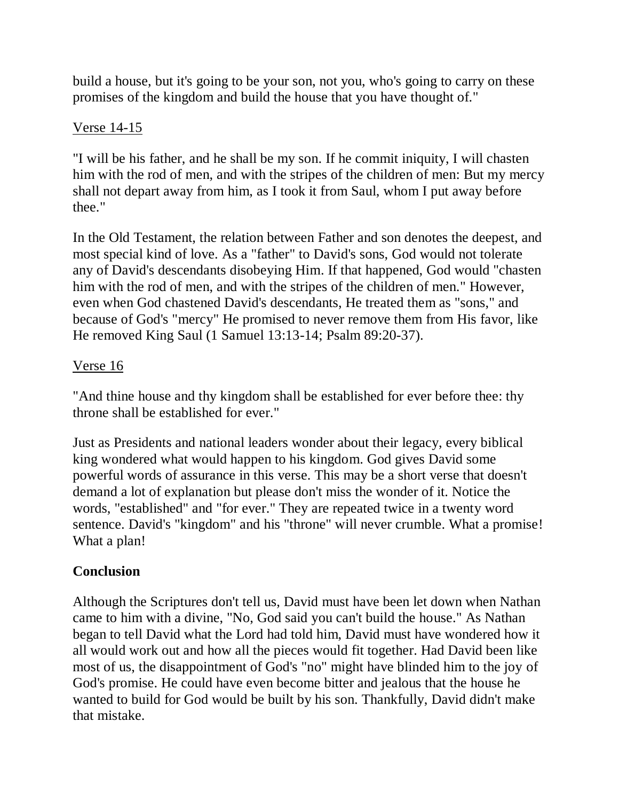build a house, but it's going to be your son, not you, who's going to carry on these promises of the kingdom and build the house that you have thought of."

### Verse 14-15

"I will be his father, and he shall be my son. If he commit iniquity, I will chasten him with the rod of men, and with the stripes of the children of men: But my mercy shall not depart away from him, as I took it from Saul, whom I put away before thee."

In the Old Testament, the relation between Father and son denotes the deepest, and most special kind of love. As a "father" to David's sons, God would not tolerate any of David's descendants disobeying Him. If that happened, God would "chasten him with the rod of men, and with the stripes of the children of men." However, even when God chastened David's descendants, He treated them as "sons," and because of God's "mercy" He promised to never remove them from His favor, like He removed King Saul (1 Samuel 13:13-14; Psalm 89:20-37).

### Verse 16

"And thine house and thy kingdom shall be established for ever before thee: thy throne shall be established for ever."

Just as Presidents and national leaders wonder about their legacy, every biblical king wondered what would happen to his kingdom. God gives David some powerful words of assurance in this verse. This may be a short verse that doesn't demand a lot of explanation but please don't miss the wonder of it. Notice the words, "established" and "for ever." They are repeated twice in a twenty word sentence. David's "kingdom" and his "throne" will never crumble. What a promise! What a plan!

# **Conclusion**

Although the Scriptures don't tell us, David must have been let down when Nathan came to him with a divine, "No, God said you can't build the house." As Nathan began to tell David what the Lord had told him, David must have wondered how it all would work out and how all the pieces would fit together. Had David been like most of us, the disappointment of God's "no" might have blinded him to the joy of God's promise. He could have even become bitter and jealous that the house he wanted to build for God would be built by his son. Thankfully, David didn't make that mistake.